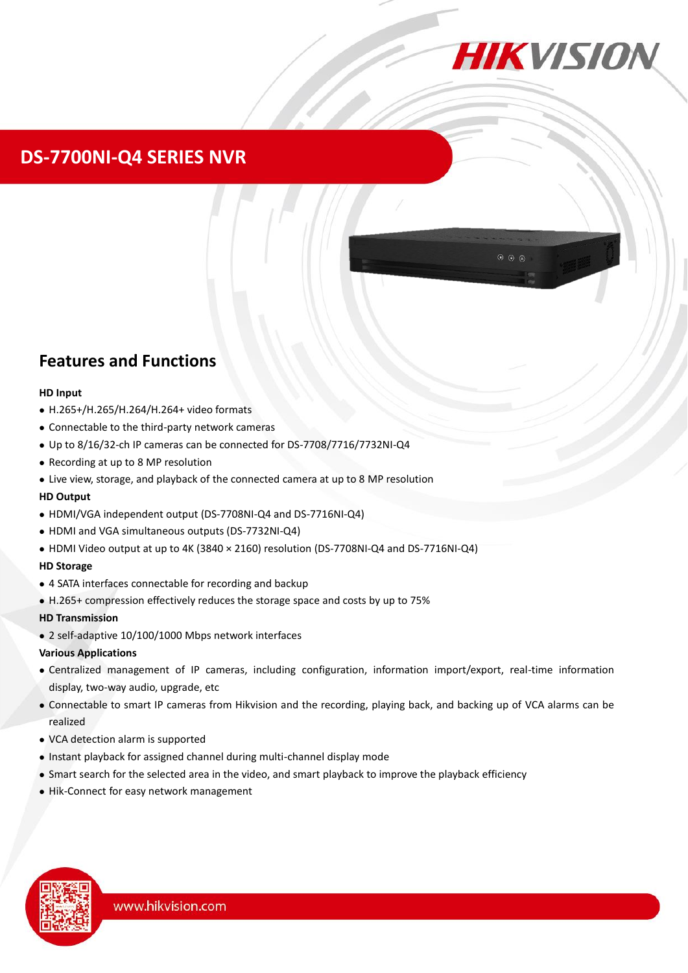

## **DS-7700NI-Q4 SERIES NVR**

### **Features and Functions**

#### **HD Input**

- H.265+/H.265/H.264/H.264+ video formats
- Connectable to the third-party network cameras
- Up to 8/16/32-ch IP cameras can be connected for DS-7708/7716/7732NI-Q4
- Recording at up to 8 MP resolution
- Live view, storage, and playback of the connected camera at up to 8 MP resolution

### **HD Output**

- HDMI/VGA independent output (DS-7708NI-Q4 and DS-7716NI-Q4)
- HDMI and VGA simultaneous outputs (DS-7732NI-Q4)
- HDMI Video output at up to 4K (3840 × 2160) resolution (DS-7708NI-Q4 and DS-7716NI-Q4)

### **HD Storage**

- 4 SATA interfaces connectable for recording and backup
- H.265+ compression effectively reduces the storage space and costs by up to 75%

### **HD Transmission**

2 self-adaptive 10/100/1000 Mbps network interfaces

### **Various Applications**

- Centralized management of IP cameras, including configuration, information import/export, real-time information display, two-way audio, upgrade, etc
- Connectable to smart IP cameras from Hikvision and the recording, playing back, and backing up of VCA alarms can be realized
- VCA detection alarm is supported
- Instant playback for assigned channel during multi-channel display mode
- Smart search for the selected area in the video, and smart playback to improve the playback efficiency
- Hik-Connect for easy network management

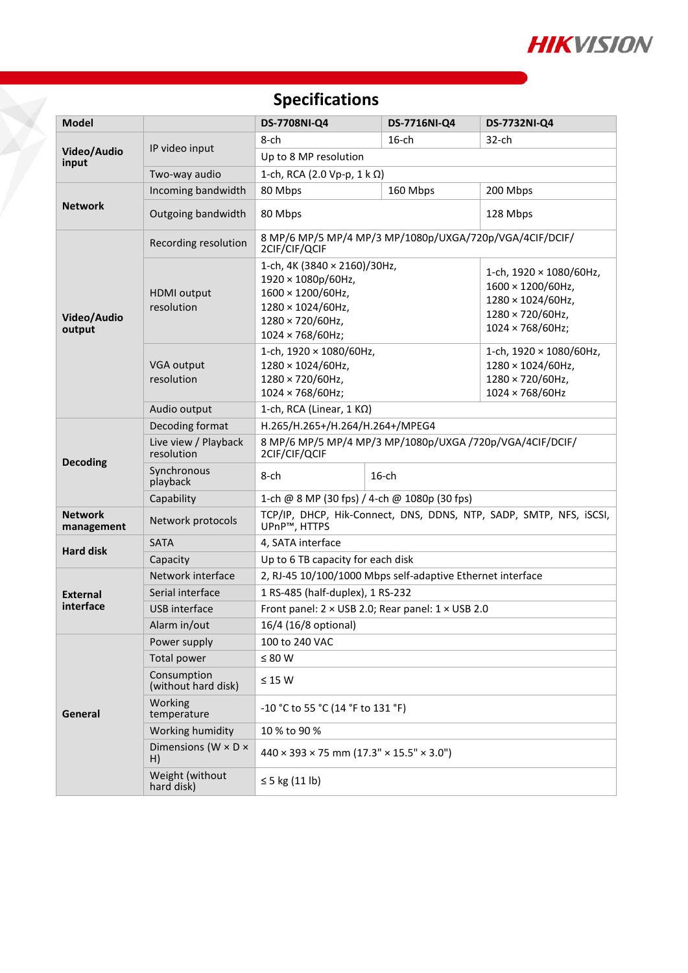

# **Specifications**

T.

| <b>Model</b>                 |                                         | DS-7708NI-Q4                                                                                                                                 | DS-7716NI-Q4 | DS-7732NI-Q4                                                                                              |  |  |
|------------------------------|-----------------------------------------|----------------------------------------------------------------------------------------------------------------------------------------------|--------------|-----------------------------------------------------------------------------------------------------------|--|--|
| Video/Audio<br>input         | IP video input                          | 8-ch                                                                                                                                         | $16$ -ch     | $32$ -ch                                                                                                  |  |  |
|                              |                                         | Up to 8 MP resolution                                                                                                                        |              |                                                                                                           |  |  |
|                              | Two-way audio                           | 1-ch, RCA (2.0 Vp-p, $1 \text{ k } \Omega$ )                                                                                                 |              |                                                                                                           |  |  |
| <b>Network</b>               | Incoming bandwidth                      | 80 Mbps                                                                                                                                      | 160 Mbps     | 200 Mbps                                                                                                  |  |  |
|                              | Outgoing bandwidth                      | 80 Mbps                                                                                                                                      |              | 128 Mbps                                                                                                  |  |  |
| Video/Audio<br>output        | Recording resolution                    | 8 MP/6 MP/5 MP/4 MP/3 MP/1080p/UXGA/720p/VGA/4CIF/DCIF/<br>2CIF/CIF/QCIF                                                                     |              |                                                                                                           |  |  |
|                              | <b>HDMI</b> output<br>resolution        | 1-ch, 4K (3840 × 2160)/30Hz,<br>1920 × 1080p/60Hz,<br>1600 × 1200/60Hz,<br>1280 × 1024/60Hz,<br>1280 × 720/60Hz,<br>$1024 \times 768/60$ Hz; |              | 1-ch, 1920 × 1080/60Hz,<br>1600 × 1200/60Hz,<br>1280 × 1024/60Hz,<br>1280 × 720/60Hz,<br>1024 × 768/60Hz; |  |  |
|                              | VGA output<br>resolution                | 1-ch, 1920 × 1080/60Hz,<br>1280 × 1024/60Hz,<br>1280 × 720/60Hz,<br>1024 × 768/60Hz;                                                         |              | 1-ch, 1920 × 1080/60Hz,<br>1280 × 1024/60Hz,<br>1280 × 720/60Hz,<br>1024 × 768/60Hz                       |  |  |
|                              | Audio output                            | 1-ch, RCA (Linear, 1 KΩ)                                                                                                                     |              |                                                                                                           |  |  |
| <b>Decoding</b>              | Decoding format                         | H.265/H.265+/H.264/H.264+/MPEG4                                                                                                              |              |                                                                                                           |  |  |
|                              | Live view / Playback<br>resolution      | 8 MP/6 MP/5 MP/4 MP/3 MP/1080p/UXGA /720p/VGA/4CIF/DCIF/<br>2CIF/CIF/QCIF                                                                    |              |                                                                                                           |  |  |
|                              | Synchronous<br>playback                 | $16$ -ch<br>8-ch                                                                                                                             |              |                                                                                                           |  |  |
|                              | Capability                              | 1-ch @ 8 MP (30 fps) / 4-ch @ 1080p (30 fps)                                                                                                 |              |                                                                                                           |  |  |
| <b>Network</b><br>management | Network protocols                       | TCP/IP, DHCP, Hik-Connect, DNS, DDNS, NTP, SADP, SMTP, NFS, iSCSI,<br>UPnP™, HTTPS                                                           |              |                                                                                                           |  |  |
| <b>Hard disk</b>             | <b>SATA</b>                             | 4, SATA interface                                                                                                                            |              |                                                                                                           |  |  |
|                              | Capacity                                | Up to 6 TB capacity for each disk                                                                                                            |              |                                                                                                           |  |  |
| <b>External</b><br>interface | Network interface                       | 2, RJ-45 10/100/1000 Mbps self-adaptive Ethernet interface                                                                                   |              |                                                                                                           |  |  |
|                              | Serial interface                        | 1 RS-485 (half-duplex), 1 RS-232                                                                                                             |              |                                                                                                           |  |  |
|                              | USB interface                           | Front panel: 2 × USB 2.0; Rear panel: 1 × USB 2.0                                                                                            |              |                                                                                                           |  |  |
|                              | Alarm in/out                            | 16/4 (16/8 optional)                                                                                                                         |              |                                                                                                           |  |  |
| General                      | Power supply                            | 100 to 240 VAC                                                                                                                               |              |                                                                                                           |  |  |
|                              | Total power                             | $\leq 80$ W                                                                                                                                  |              |                                                                                                           |  |  |
|                              | Consumption<br>(without hard disk)      | $\leq$ 15 W                                                                                                                                  |              |                                                                                                           |  |  |
|                              | Working<br>temperature                  | -10 °C to 55 °C (14 °F to 131 °F)                                                                                                            |              |                                                                                                           |  |  |
|                              | Working humidity                        | 10 % to 90 %                                                                                                                                 |              |                                                                                                           |  |  |
|                              | Dimensions (W $\times$ D $\times$<br>H) | $440 \times 393 \times 75$ mm $(17.3" \times 15.5" \times 3.0")$                                                                             |              |                                                                                                           |  |  |
|                              | Weight (without<br>hard disk)           | $\leq$ 5 kg (11 lb)                                                                                                                          |              |                                                                                                           |  |  |